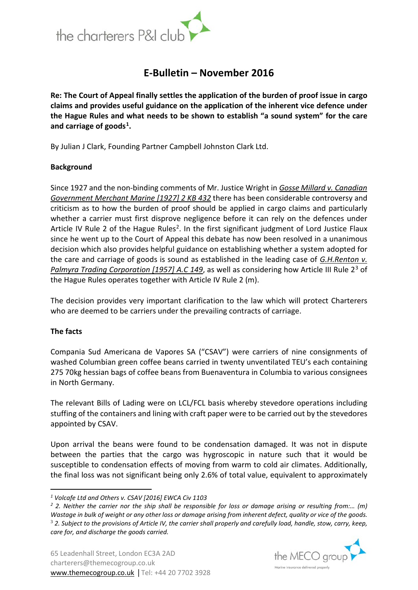

# **E-Bulletin – November 2016**

**Re: The Court of Appeal finally settles the application of the burden of proof issue in cargo claims and provides useful guidance on the application of the inherent vice defence under the Hague Rules and what needs to be shown to establish "a sound system" for the care and carriage of goods[1.](#page-0-0)**

By Julian J Clark, Founding Partner Campbell Johnston Clark Ltd.

# **Background**

Since 1927 and the non-binding comments of Mr. Justice Wright in *Gosse Millard v. Canadian Government Merchant Marine [1927] 2 KB 432* there has been considerable controversy and criticism as to how the burden of proof should be applied in cargo claims and particularly whether a carrier must first disprove negligence before it can rely on the defences under Article IV Rule [2](#page-0-1) of the Hague Rules<sup>2</sup>. In the first significant judgment of Lord Justice Flaux since he went up to the Court of Appeal this debate has now been resolved in a unanimous decision which also provides helpful guidance on establishing whether a system adopted for the care and carriage of goods is sound as established in the leading case of *G.H.Renton v. Palmyra Trading Corporation [1957] A.C 149*, as well as considering how Article III Rule 2[3](#page-0-2) of the Hague Rules operates together with Article IV Rule 2 (m).

The decision provides very important clarification to the law which will protect Charterers who are deemed to be carriers under the prevailing contracts of carriage.

#### **The facts**

<u>.</u>

Compania Sud Americana de Vapores SA ("CSAV") were carriers of nine consignments of washed Columbian green coffee beans carried in twenty unventilated TEU's each containing 275 70kg hessian bags of coffee beans from Buenaventura in Columbia to various consignees in North Germany.

The relevant Bills of Lading were on LCL/FCL basis whereby stevedore operations including stuffing of the containers and lining with craft paper were to be carried out by the stevedores appointed by CSAV.

Upon arrival the beans were found to be condensation damaged. It was not in dispute between the parties that the cargo was hygroscopic in nature such that it would be susceptible to condensation effects of moving from warm to cold air climates. Additionally, the final loss was not significant being only 2.6% of total value, equivalent to approximately



<span id="page-0-0"></span>*<sup>1</sup> Volcafe Ltd and Others v. CSAV [2016] EWCA Civ 1103*

<span id="page-0-2"></span><span id="page-0-1"></span>*<sup>2</sup> 2. Neither the carrier nor the ship shall be responsible for loss or damage arising or resulting from:… (m) Wastage in bulk of weight or any other loss or damage arising from inherent defect, quality or vice of the goods.* <sup>3</sup> *2. Subject to the provisions of Article IV, the carrier shall properly and carefully load, handle, stow, carry, keep, care for, and discharge the goods carried.*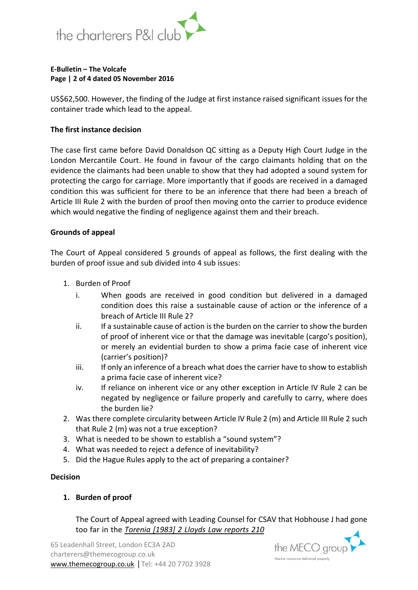

#### **E-Bulletin – The Volcafe Page | 2 of 4 dated 05 November 2016**

US\$62,500. However, the finding of the Judge at first instance raised significant issues for the container trade which lead to the appeal.

## **The first instance decision**

The case first came before David Donaldson QC sitting as a Deputy High Court Judge in the London Mercantile Court. He found in favour of the cargo claimants holding that on the evidence the claimants had been unable to show that they had adopted a sound system for protecting the cargo for carriage. More importantly that if goods are received in a damaged condition this was sufficient for there to be an inference that there had been a breach of Article III Rule 2 with the burden of proof then moving onto the carrier to produce evidence which would negative the finding of negligence against them and their breach.

## **Grounds of appeal**

The Court of Appeal considered 5 grounds of appeal as follows, the first dealing with the burden of proof issue and sub divided into 4 sub issues:

- 1. Burden of Proof
	- i. When goods are received in good condition but delivered in a damaged condition does this raise a sustainable cause of action or the inference of a breach of Article III Rule 2?
	- ii. If a sustainable cause of action is the burden on the carrier to show the burden of proof of inherent vice or that the damage was inevitable (cargo's position), or merely an evidential burden to show a prima facie case of inherent vice (carrier's position)?
	- iii. If only an inference of a breach what does the carrier have to show to establish a prima facie case of inherent vice?
	- iv. If reliance on inherent vice or any other exception in Article IV Rule 2 can be negated by negligence or failure properly and carefully to carry, where does the burden lie?
- 2. Was there complete circularity between Article IV Rule 2 (m) and Article III Rule 2 such that Rule 2 (m) was not a true exception?
- 3. What is needed to be shown to establish a "sound system"?
- 4. What was needed to reject a defence of inevitability?
- 5. Did the Hague Rules apply to the act of preparing a container?

#### **Decision**

# **1. Burden of proof**

The Court of Appeal agreed with Leading Counsel for CSAV that Hobhouse J had gone too far in the *Torenia [1983] 2 Lloyds Law reports 210*

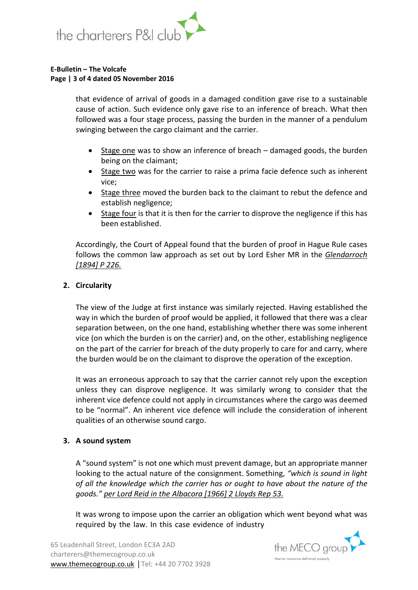

#### **E-Bulletin – The Volcafe Page | 3 of 4 dated 05 November 2016**

that evidence of arrival of goods in a damaged condition gave rise to a sustainable cause of action. Such evidence only gave rise to an inference of breach. What then followed was a four stage process, passing the burden in the manner of a pendulum swinging between the cargo claimant and the carrier.

- Stage one was to show an inference of breach damaged goods, the burden being on the claimant;
- Stage two was for the carrier to raise a prima facie defence such as inherent vice;
- Stage three moved the burden back to the claimant to rebut the defence and establish negligence;
- Stage four is that it is then for the carrier to disprove the negligence if this has been established.

Accordingly, the Court of Appeal found that the burden of proof in Hague Rule cases follows the common law approach as set out by Lord Esher MR in the *Glendarroch [1894] P 226.*

# **2. Circularity**

The view of the Judge at first instance was similarly rejected. Having established the way in which the burden of proof would be applied, it followed that there was a clear separation between, on the one hand, establishing whether there was some inherent vice (on which the burden is on the carrier) and, on the other, establishing negligence on the part of the carrier for breach of the duty properly to care for and carry, where the burden would be on the claimant to disprove the operation of the exception.

It was an erroneous approach to say that the carrier cannot rely upon the exception unless they can disprove negligence. It was similarly wrong to consider that the inherent vice defence could not apply in circumstances where the cargo was deemed to be "normal". An inherent vice defence will include the consideration of inherent qualities of an otherwise sound cargo.

# **3. A sound system**

A "sound system" is not one which must prevent damage, but an appropriate manner looking to the actual nature of the consignment. Something, *"which is sound in light of all the knowledge which the carrier has or ought to have about the nature of the goods." per Lord Reid in the Albacora [1966] 2 Lloyds Rep 53.*

It was wrong to impose upon the carrier an obligation which went beyond what was required by the law. In this case evidence of industry